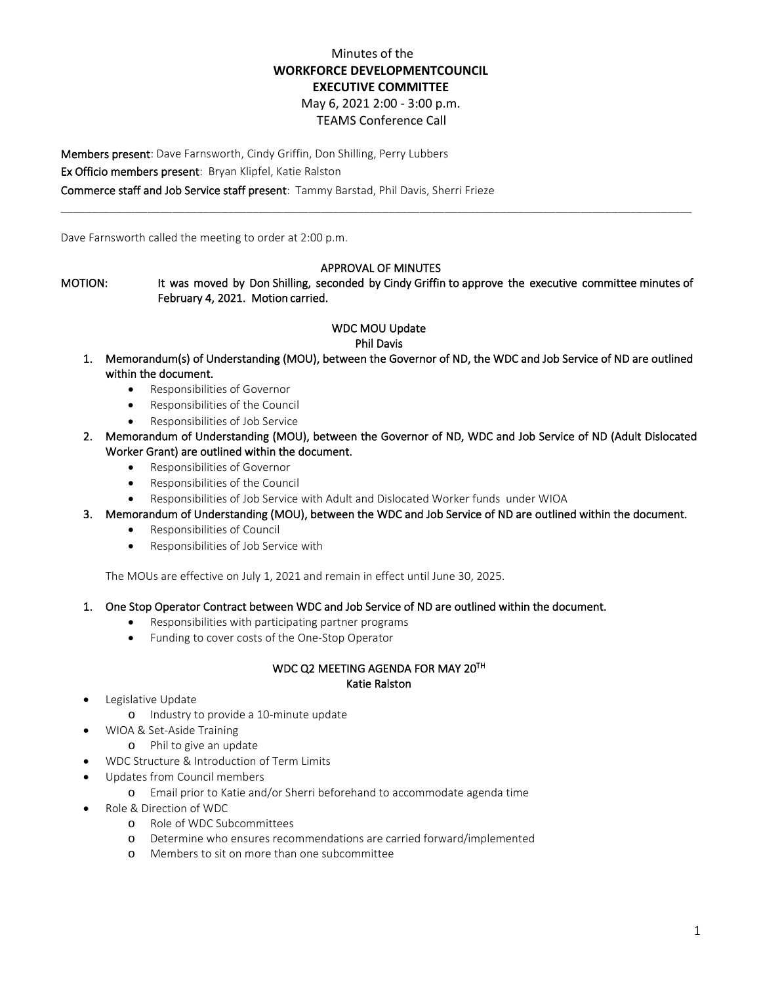# Minutes of the **WORKFORCE DEVELOPMENTCOUNCIL EXECUTIVE COMMITTEE**

May 6, 2021 2:00 - 3:00 p.m.

## TEAMS Conference Call

Members present: Dave Farnsworth, Cindy Griffin, Don Shilling, Perry Lubbers Ex Officio members present: Bryan Klipfel, Katie Ralston Commerce staff and Job Service staff present: Tammy Barstad, Phil Davis, Sherri Frieze

Dave Farnsworth called the meeting to order at 2:00 p.m.

### APPROVAL OF MINUTES

\_\_\_\_\_\_\_\_\_\_\_\_\_\_\_\_\_\_\_\_\_\_\_\_\_\_\_\_\_\_\_\_\_\_\_\_\_\_\_\_\_\_\_\_\_\_\_\_\_\_\_\_\_\_\_\_\_\_\_\_\_\_\_\_\_\_\_\_\_\_\_\_\_\_\_\_\_\_\_\_\_\_\_\_\_\_\_\_\_\_\_\_\_\_\_\_\_\_\_\_\_\_

MOTION: It was moved by Don Shilling, seconded by Cindy Griffin to approve the executive committee minutes of February 4, 2021. Motion carried.

# WDC MOU Update

#### Phil Davis

- 1. Memorandum(s) of Understanding (MOU), between the Governor of ND, the WDC and Job Service of ND are outlined within the document.
	- Responsibilities of Governor
	- Responsibilities of the Council
	- Responsibilities of Job Service
- 2. Memorandum of Understanding (MOU), between the Governor of ND, WDC and Job Service of ND (Adult Dislocated Worker Grant) are outlined within the document.
	- Responsibilities of Governor
	- Responsibilities of the Council
	- Responsibilities of Job Service with Adult and Dislocated Worker funds under WIOA
- 3. Memorandum of Understanding (MOU), between the WDC and Job Service of ND are outlined within the document.
	- Responsibilities of Council
	- Responsibilities of Job Service with

The MOUs are effective on July 1, 2021 and remain in effect until June 30, 2025.

- 1. One Stop Operator Contract between WDC and Job Service of ND are outlined within the document.
	- Responsibilities with participating partner programs
	- Funding to cover costs of the One-Stop Operator

## WDC Q2 MEETING AGENDA FOR MAY 20TH Katie Ralston

- Legislative Update
	- o Industry to provide a 10-minute update
	- WIOA & Set-Aside Training
		- o Phil to give an update
- WDC Structure & Introduction of Term Limits
- Updates from Council members
	- o Email prior to Katie and/or Sherri beforehand to accommodate agenda time
- Role & Direction of WDC
	- o Role of WDC Subcommittees
	- o Determine who ensures recommendations are carried forward/implemented<br>O Members to sit on more than one subcommittee
	- Members to sit on more than one subcommittee